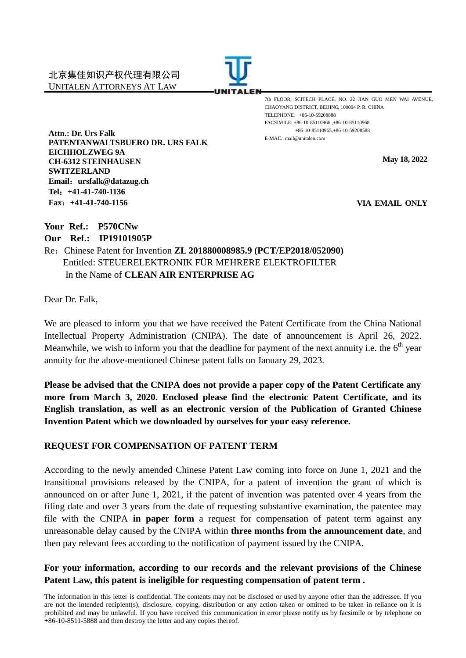

7th FLOOR, SCITECH PLACE, NO. 22 JIAN GUO MEN WAI AVENUE, CHAOYANG DISTRICT, BEIJING, 100004 P. R. CHINA TELEPHONE:+86-10-59208888 FACSIMILE: +86-10-85110966 ,+86-10-85110968 +86-10-85110965,+86-10-59208588 E-MAIL: mail@unitalen.com

**May 18, 2022**

**VIA EMAIL ONLY**

**Attn.: Dr. Urs Falk PATENTANWALTSBUERO DR. URS FALK EICHHOLZWEG 9A CH-6312 STEINHAUSEN SWITZERLAND Email**:**ursfalk@datazug.ch Tel**:**+41-41-740-1136 Fax**:**+41-41-740-1156**

**Your Ref.: P570CNw**

**Our Ref.: IP19101905P**

Re:Chinese Patent for Invention **ZL 201880008985.9 (PCT/EP2018/052090)** Entitled: STEUERELEKTRONIK FÜR MEHRERE ELEKTROFILTER In the Name of **CLEAN AIR ENTERPRISE AG**

Dear Dr. Falk,

We are pleased to inform you that we have received the Patent Certificate from the China National Intellectual Property Administration (CNIPA). The date of announcement is April 26, 2022. Meanwhile, we wish to inform you that the deadline for payment of the next annuity i.e. the  $6<sup>th</sup>$  year annuity for the above-mentioned Chinese patent falls on January 29, 2023.

**Please be advised that the CNIPA does not provide a paper copy of the Patent Certificate any more from March 3, 2020. Enclosed please find the electronic Patent Certificate, and its English translation, as well as an electronic version of the Publication of Granted Chinese Invention Patent which we downloaded by ourselves for your easy reference.**

## **REQUEST FOR COMPENSATION OF PATENT TERM**

According to the newly amended Chinese Patent Law coming into force on June 1, 2021 and the transitional provisions released by the CNIPA, for a patent of invention the grant of which is announced on or after June 1, 2021, if the patent of invention was patented over 4 years from the filing date and over 3 years from the date of requesting substantive examination, the patentee may file with the CNIPA **in paper form** a request for compensation of patent term against any unreasonable delay caused by the CNIPA within **three months from the announcement date**, and then pay relevant fees according to the notification of payment issued by the CNIPA.

## **For your information, according to our records and the relevant provisions of the Chinese Patent Law, this patent is ineligible for requesting compensation of patent term .**

The information in this letter is confidential. The contents may not be disclosed or used by anyone other than the addressee. If you are not the intended recipient(s), disclosure, copying, distribution or any action taken or omitted to be taken in reliance on it is prohibited and may be unlawful. If you have received this communication in error please notify us by facsimile or by telephone on +86-10-8511-5888 and then destroy the letter and any copies thereof.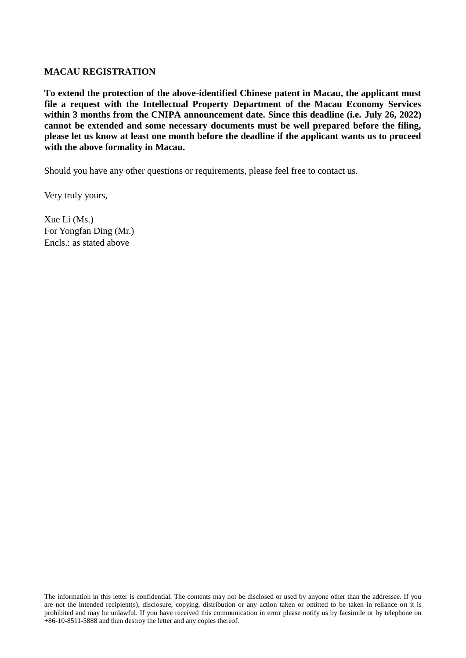### **MACAU REGISTRATION**

**To extend the protection of the above-identified Chinese patent in Macau, the applicant must file a request with the Intellectual Property Department of the Macau Economy Services**  within 3 months from the CNIPA announcement date. Since this deadline (i.e. July 26, 2022) **cannot be extended and some necessary documents must be well prepared before the filing, please let us know at least one month before the deadline if the applicant wants us to proceed with the above formality in Macau.**

Should you have any other questions or requirements, please feel free to contact us.

Very truly yours,

Xue Li (Ms.) For Yongfan Ding (Mr.) Encls.: as stated above

The information in this letter is confidential. The contents may not be disclosed or used by anyone other than the addressee. If you are not the intended recipient(s), disclosure, copying, distribution or any action taken or omitted to be taken in reliance on it is prohibited and may be unlawful. If you have received this communication in error please notify us by facsimile or by telephone on +86-10-8511-5888 and then destroy the letter and any copies thereof.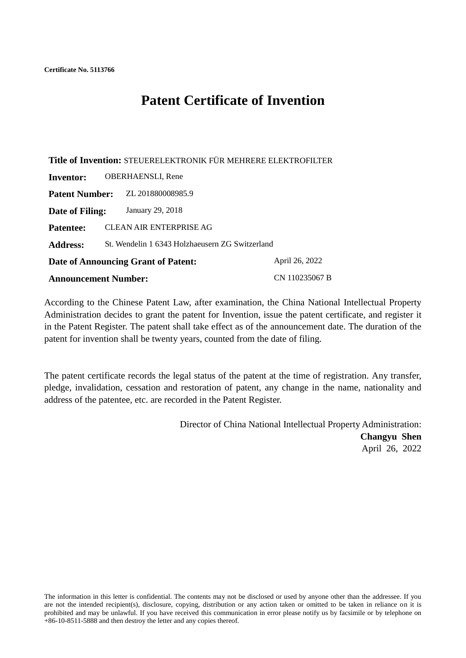# **Patent Certificate of Invention**

**Title of Invention:** STEUERELEKTRONIK FÜR MEHRERE ELEKTROFILTER **Inventor:** OBERHAENSLI, Rene **Patent Number:** ZL 201880008985.9 **Date of Filing:** January 29, 2018 **Patentee:** CLEAN AIR ENTERPRISE AG **Address:** St. Wendelin 1 6343 Holzhaeusern ZG Switzerland **Date of Announcing Grant of Patent:** April 26, 2022 **Announcement Number:** CN 110235067 B

According to the Chinese Patent Law, after examination, the China National Intellectual Property Administration decides to grant the patent for Invention, issue the patent certificate, and register it in the Patent Register. The patent shall take effect as of the announcement date. The duration of the patent for invention shall be twenty years, counted from the date of filing.

The patent certificate records the legal status of the patent at the time of registration. Any transfer, pledge, invalidation, cessation and restoration of patent, any change in the name, nationality and address of the patentee, etc. are recorded in the Patent Register.

> Director of China National Intellectual Property Administration: **Changyu Shen** April 26, 2022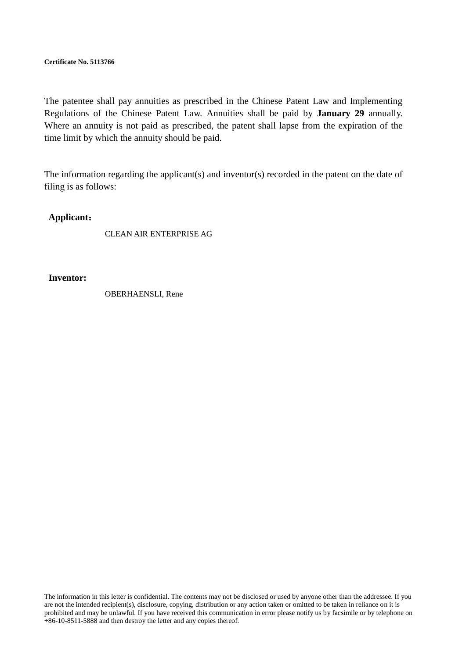**Certificate No. 5113766**

The patentee shall pay annuities as prescribed in the Chinese Patent Law and Implementing Regulations of the Chinese Patent Law. Annuities shall be paid by **January 29** annually. Where an annuity is not paid as prescribed, the patent shall lapse from the expiration of the time limit by which the annuity should be paid.

The information regarding the applicant(s) and inventor(s) recorded in the patent on the date of filing is as follows:

#### **Applicant**:

CLEAN AIR ENTERPRISE AG

**Inventor:**

OBERHAENSLI, Rene